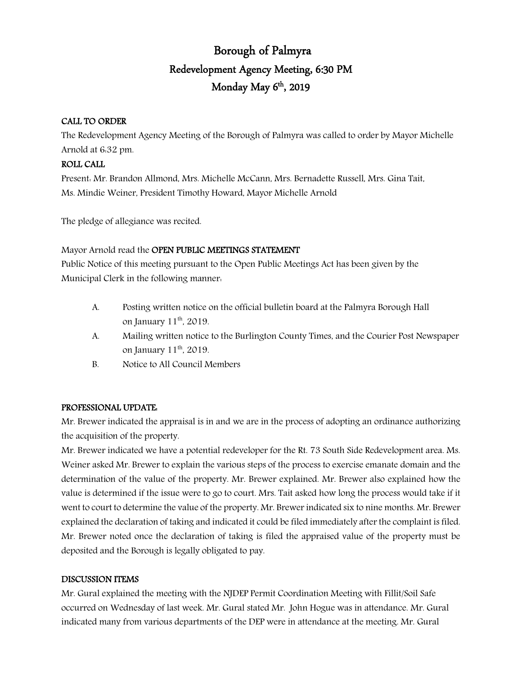# Borough of Palmyra Redevelopment Agency Meeting, 6:30 PM Monday May  $6<sup>th</sup>$ , 2019

### CALL TO ORDER

The Redevelopment Agency Meeting of the Borough of Palmyra was called to order by Mayor Michelle Arnold at 6:32 pm.

## ROLL CALL

Present: Mr. Brandon Allmond, Mrs. Michelle McCann, Mrs. Bernadette Russell, Mrs. Gina Tait, Ms. Mindie Weiner, President Timothy Howard, Mayor Michelle Arnold

The pledge of allegiance was recited.

## Mayor Arnold read the OPEN PUBLIC MEETINGS STATEMENT

Public Notice of this meeting pursuant to the Open Public Meetings Act has been given by the Municipal Clerk in the following manner:

- A. Posting written notice on the official bulletin board at the Palmyra Borough Hall on January  $11^{th}$ , 2019.
- A. Mailing written notice to the Burlington County Times, and the Courier Post Newspaper on January  $11^{th}$ , 2019.
- B. Notice to All Council Members

## PROFESSIONAL UPDATE:

Mr. Brewer indicated the appraisal is in and we are in the process of adopting an ordinance authorizing the acquisition of the property.

Mr. Brewer indicated we have a potential redeveloper for the Rt. 73 South Side Redevelopment area. Ms. Weiner asked Mr. Brewer to explain the various steps of the process to exercise emanate domain and the determination of the value of the property. Mr. Brewer explained. Mr. Brewer also explained how the value is determined if the issue were to go to court. Mrs. Tait asked how long the process would take if it went to court to determine the value of the property. Mr. Brewer indicated six to nine months. Mr. Brewer explained the declaration of taking and indicated it could be filed immediately after the complaint is filed. Mr. Brewer noted once the declaration of taking is filed the appraised value of the property must be deposited and the Borough is legally obligated to pay.

## DISCUSSION ITEMS

Mr. Gural explained the meeting with the NJDEP Permit Coordination Meeting with Fillit/Soil Safe occurred on Wednesday of last week. Mr. Gural stated Mr. John Hogue was in attendance. Mr. Gural indicated many from various departments of the DEP were in attendance at the meeting. Mr. Gural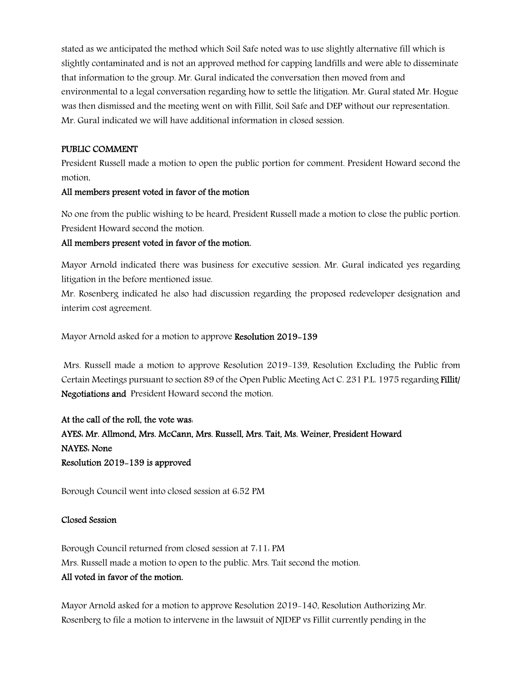stated as we anticipated the method which Soil Safe noted was to use slightly alternative fill which is slightly contaminated and is not an approved method for capping landfills and were able to disseminate that information to the group. Mr. Gural indicated the conversation then moved from and environmental to a legal conversation regarding how to settle the litigation. Mr. Gural stated Mr. Hogue was then dismissed and the meeting went on with Fillit, Soil Safe and DEP without our representation. Mr. Gural indicated we will have additional information in closed session.

#### PUBLIC COMMENT

President Russell made a motion to open the public portion for comment. President Howard second the motion.

#### All members present voted in favor of the motion

No one from the public wishing to be heard, President Russell made a motion to close the public portion. President Howard second the motion.

#### All members present voted in favor of the motion.

Mayor Arnold indicated there was business for executive session. Mr. Gural indicated yes regarding litigation in the before mentioned issue.

Mr. Rosenberg indicated he also had discussion regarding the proposed redeveloper designation and interim cost agreement.

Mayor Arnold asked for a motion to approve Resolution 2019-139

Mrs. Russell made a motion to approve Resolution 2019-139, Resolution Excluding the Public from Certain Meetings pursuant to section 89 of the Open Public Meeting Act C. 231 P.L. 1975 regarding Fillit/ Negotiations and President Howard second the motion.

At the call of the roll, the vote was: AYES: Mr. Allmond, Mrs. McCann, Mrs. Russell, Mrs. Tait, Ms. Weiner, President Howard NAYES: None Resolution 2019-139 is approved

Borough Council went into closed session at 6:52 PM

#### Closed Session

Borough Council returned from closed session at 7:11: PM Mrs. Russell made a motion to open to the public. Mrs. Tait second the motion. All voted in favor of the motion.

Mayor Arnold asked for a motion to approve Resolution 2019-140, Resolution Authorizing Mr. Rosenberg to file a motion to intervene in the lawsuit of NJDEP vs Fillit currently pending in the